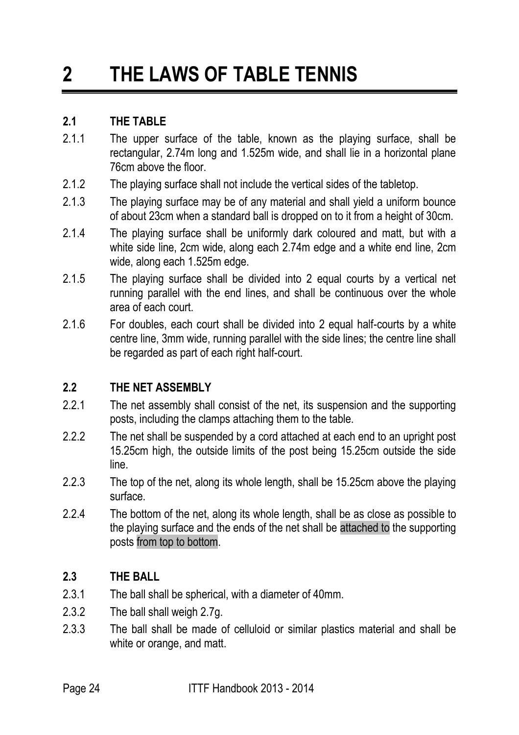# **2 THE LAWS OF TABLE TENNIS**

#### **2.1 THE TABLE**

- 2.1.1 The upper surface of the table, known as the playing surface, shall be rectangular, 2.74m long and 1.525m wide, and shall lie in a horizontal plane 76cm above the floor.
- 2.1.2 The playing surface shall not include the vertical sides of the tabletop.
- 2.1.3 The playing surface may be of any material and shall yield a uniform bounce of about 23cm when a standard ball is dropped on to it from a height of 30cm.
- 2.1.4 The playing surface shall be uniformly dark coloured and matt, but with a white side line, 2cm wide, along each 2.74m edge and a white end line, 2cm wide, along each 1.525m edge.
- 2.1.5 The playing surface shall be divided into 2 equal courts by a vertical net running parallel with the end lines, and shall be continuous over the whole area of each court.
- 2.1.6 For doubles, each court shall be divided into 2 equal half-courts by a white centre line, 3mm wide, running parallel with the side lines; the centre line shall be regarded as part of each right half-court.

# **2.2 THE NET ASSEMBLY**

- 2.2.1 The net assembly shall consist of the net, its suspension and the supporting posts, including the clamps attaching them to the table.
- 2.2.2 The net shall be suspended by a cord attached at each end to an upright post 15.25cm high, the outside limits of the post being 15.25cm outside the side line.
- 2.2.3 The top of the net, along its whole length, shall be 15.25cm above the playing surface.
- 2.2.4 The bottom of the net, along its whole length, shall be as close as possible to the playing surface and the ends of the net shall be attached to the supporting posts from top to bottom.

#### **2.3 THE BALL**

- 2.3.1 The ball shall be spherical, with a diameter of 40mm.
- 2.3.2 The ball shall weigh 2.7g.
- 2.3.3 The ball shall be made of celluloid or similar plastics material and shall be white or orange, and matt.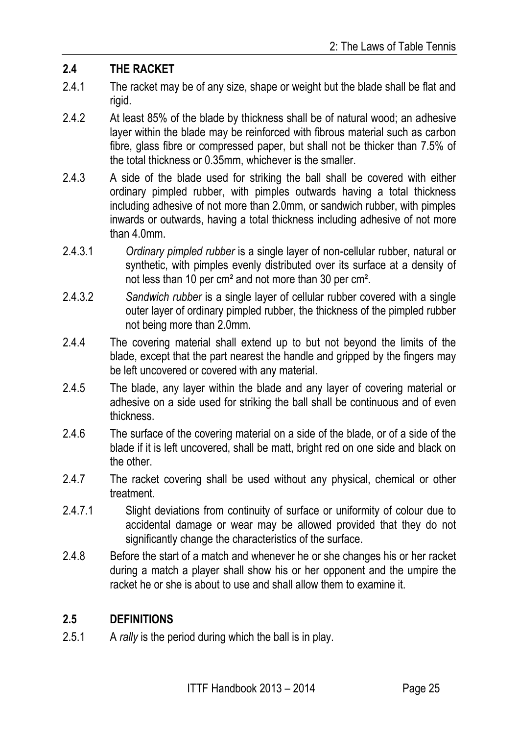#### **2.4 THE RACKET**

- 2.4.1 The racket may be of any size, shape or weight but the blade shall be flat and rigid.
- 2.4.2 At least 85% of the blade by thickness shall be of natural wood; an adhesive layer within the blade may be reinforced with fibrous material such as carbon fibre, glass fibre or compressed paper, but shall not be thicker than 7.5% of the total thickness or 0.35mm, whichever is the smaller.
- 2.4.3 A side of the blade used for striking the ball shall be covered with either ordinary pimpled rubber, with pimples outwards having a total thickness including adhesive of not more than 2.0mm, or sandwich rubber, with pimples inwards or outwards, having a total thickness including adhesive of not more than 4.0mm.
- 2.4.3.1 *Ordinary pimpled rubber* is a single layer of non-cellular rubber, natural or synthetic, with pimples evenly distributed over its surface at a density of not less than 10 per cm² and not more than 30 per cm².
- 2.4.3.2 *Sandwich rubber* is a single layer of cellular rubber covered with a single outer layer of ordinary pimpled rubber, the thickness of the pimpled rubber not being more than 2.0mm.
- 2.4.4 The covering material shall extend up to but not beyond the limits of the blade, except that the part nearest the handle and gripped by the fingers may be left uncovered or covered with any material.
- 2.4.5 The blade, any layer within the blade and any layer of covering material or adhesive on a side used for striking the ball shall be continuous and of even thickness.
- 2.4.6 The surface of the covering material on a side of the blade, or of a side of the blade if it is left uncovered, shall be matt, bright red on one side and black on the other.
- 2.4.7 The racket covering shall be used without any physical, chemical or other treatment.
- 2.4.7.1 Slight deviations from continuity of surface or uniformity of colour due to accidental damage or wear may be allowed provided that they do not significantly change the characteristics of the surface.
- 2.4.8 Before the start of a match and whenever he or she changes his or her racket during a match a player shall show his or her opponent and the umpire the racket he or she is about to use and shall allow them to examine it.

#### **2.5 DEFINITIONS**

2.5.1 A *rally* is the period during which the ball is in play.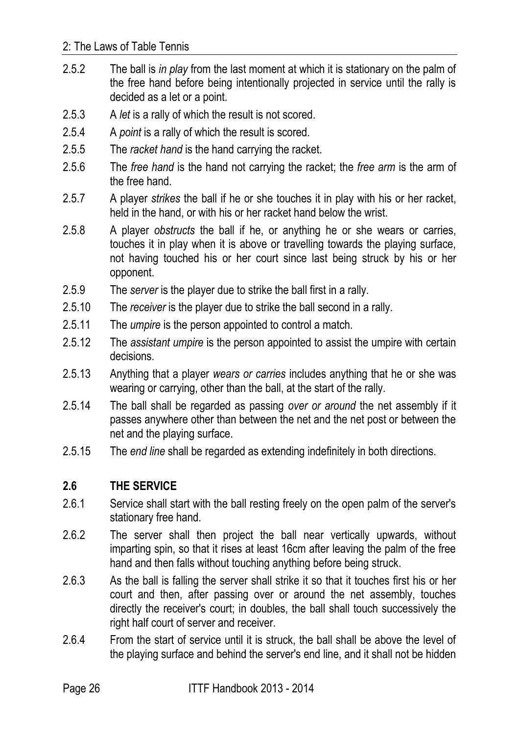- 2.5.2 The ball is *in play* from the last moment at which it is stationary on the palm of the free hand before being intentionally projected in service until the rally is decided as a let or a point.
- 2.5.3 A *let* is a rally of which the result is not scored.
- 2.5.4 A *point* is a rally of which the result is scored.
- 2.5.5 The *racket hand* is the hand carrying the racket.
- 2.5.6 The *free hand* is the hand not carrying the racket; the *free arm* is the arm of the free hand.
- 2.5.7 A player *strikes* the ball if he or she touches it in play with his or her racket, held in the hand, or with his or her racket hand below the wrist.
- 2.5.8 A player *obstructs* the ball if he, or anything he or she wears or carries, touches it in play when it is above or travelling towards the playing surface, not having touched his or her court since last being struck by his or her opponent.
- 2.5.9 The *server* is the player due to strike the ball first in a rally.
- 2.5.10 The *receiver* is the player due to strike the ball second in a rally.
- 2.5.11 The *umpire* is the person appointed to control a match.
- 2.5.12 The *assistant umpire* is the person appointed to assist the umpire with certain decisions.
- 2.5.13 Anything that a player *wears or carries* includes anything that he or she was wearing or carrying, other than the ball, at the start of the rally.
- 2.5.14 The ball shall be regarded as passing *over or around* the net assembly if it passes anywhere other than between the net and the net post or between the net and the playing surface.
- 2.5.15 The *end line* shall be regarded as extending indefinitely in both directions.

#### **2.6 THE SERVICE**

- 2.6.1 Service shall start with the ball resting freely on the open palm of the server's stationary free hand.
- 2.6.2 The server shall then project the ball near vertically upwards, without imparting spin, so that it rises at least 16cm after leaving the palm of the free hand and then falls without touching anything before being struck.
- 2.6.3 As the ball is falling the server shall strike it so that it touches first his or her court and then, after passing over or around the net assembly, touches directly the receiver's court; in doubles, the ball shall touch successively the right half court of server and receiver.
- 2.6.4 From the start of service until it is struck, the ball shall be above the level of the playing surface and behind the server's end line, and it shall not be hidden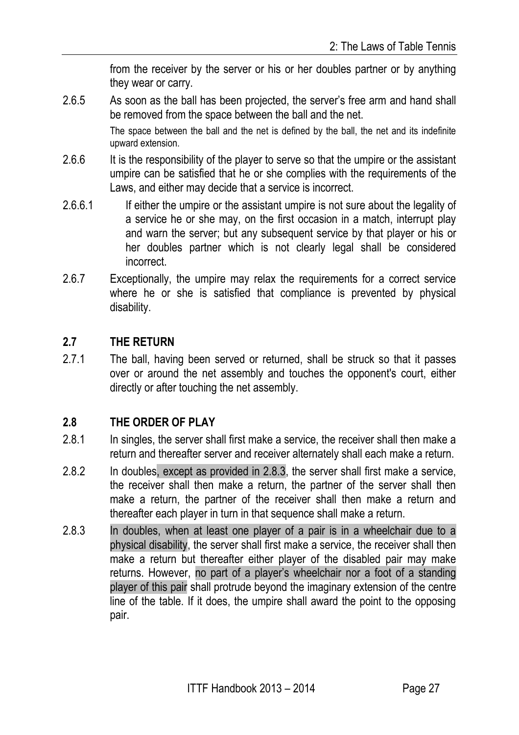from the receiver by the server or his or her doubles partner or by anything they wear or carry.

2.6.5 As soon as the ball has been projected, the server's free arm and hand shall be removed from the space between the ball and the net.

> The space between the ball and the net is defined by the ball, the net and its indefinite upward extension.

- 2.6.6 It is the responsibility of the player to serve so that the umpire or the assistant umpire can be satisfied that he or she complies with the requirements of the Laws, and either may decide that a service is incorrect.
- 2.6.6.1 If either the umpire or the assistant umpire is not sure about the legality of a service he or she may, on the first occasion in a match, interrupt play and warn the server; but any subsequent service by that player or his or her doubles partner which is not clearly legal shall be considered incorrect.
- 2.6.7 Exceptionally, the umpire may relax the requirements for a correct service where he or she is satisfied that compliance is prevented by physical disability.

#### **2.7 THE RETURN**

2.7.1 The ball, having been served or returned, shall be struck so that it passes over or around the net assembly and touches the opponent's court, either directly or after touching the net assembly.

#### **2.8 THE ORDER OF PLAY**

- 2.8.1 In singles, the server shall first make a service, the receiver shall then make a return and thereafter server and receiver alternately shall each make a return.
- 2.8.2 In doubles, except as provided in 2.8.3, the server shall first make a service, the receiver shall then make a return, the partner of the server shall then make a return, the partner of the receiver shall then make a return and thereafter each player in turn in that sequence shall make a return.
- 2.8.3 In doubles, when at least one player of a pair is in a wheelchair due to a physical disability, the server shall first make a service, the receiver shall then make a return but thereafter either player of the disabled pair may make returns. However, no part of a player's wheelchair nor a foot of a standing player of this pair shall protrude beyond the imaginary extension of the centre line of the table. If it does, the umpire shall award the point to the opposing pair.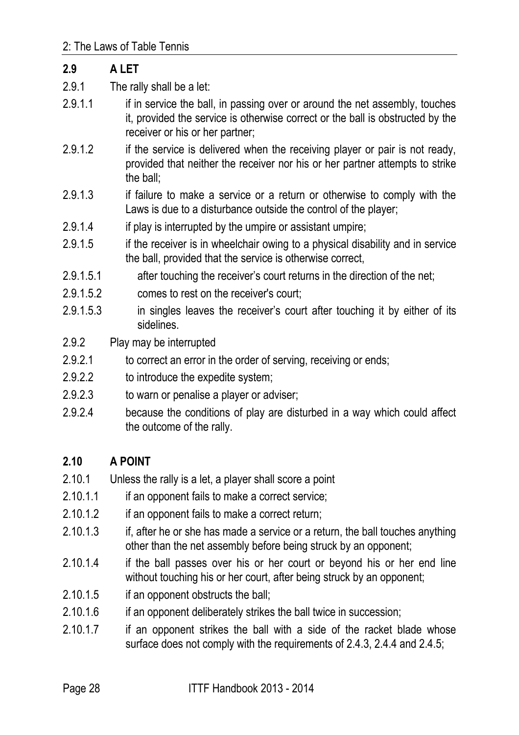| 2.9       | A LET                                                                                                                                                                                            |
|-----------|--------------------------------------------------------------------------------------------------------------------------------------------------------------------------------------------------|
| 2.9.1     | The rally shall be a let:                                                                                                                                                                        |
| 2.9.1.1   | if in service the ball, in passing over or around the net assembly, touches<br>it, provided the service is otherwise correct or the ball is obstructed by the<br>receiver or his or her partner; |
| 2.9.1.2   | if the service is delivered when the receiving player or pair is not ready,<br>provided that neither the receiver nor his or her partner attempts to strike<br>the ball;                         |
| 2.9.1.3   | if failure to make a service or a return or otherwise to comply with the<br>Laws is due to a disturbance outside the control of the player;                                                      |
| 2.9.1.4   | if play is interrupted by the umpire or assistant umpire;                                                                                                                                        |
| 2.9.1.5   | if the receiver is in wheelchair owing to a physical disability and in service<br>the ball, provided that the service is otherwise correct,                                                      |
| 2.9.1.5.1 | after touching the receiver's court returns in the direction of the net;                                                                                                                         |
| 2.9.1.5.2 | comes to rest on the receiver's court;                                                                                                                                                           |
| 2.9.1.5.3 | in singles leaves the receiver's court after touching it by either of its<br>sidelines.                                                                                                          |
| 2.9.2     | Play may be interrupted                                                                                                                                                                          |
| 2.9.2.1   | to correct an error in the order of serving, receiving or ends;                                                                                                                                  |
| 2.9.2.2   | to introduce the expedite system;                                                                                                                                                                |
| 2.9.2.3   | to warn or penalise a player or adviser;                                                                                                                                                         |
| 2.9.2.4   | because the conditions of play are disturbed in a way which could affect<br>the outcome of the rally.                                                                                            |

# **2.10 A POINT**

- 2.10.1 Unless the rally is a let, a player shall score a point
- 2.10.1.1 if an opponent fails to make a correct service;
- 2.10.1.2 if an opponent fails to make a correct return;
- 2.10.1.3 if, after he or she has made a service or a return, the ball touches anything other than the net assembly before being struck by an opponent;
- 2.10.1.4 if the ball passes over his or her court or beyond his or her end line without touching his or her court, after being struck by an opponent;
- 2.10.1.5 if an opponent obstructs the ball;
- 2.10.1.6 if an opponent deliberately strikes the ball twice in succession;
- 2.10.1.7 if an opponent strikes the ball with a side of the racket blade whose surface does not comply with the requirements of 2.4.3, 2.4.4 and 2.4.5;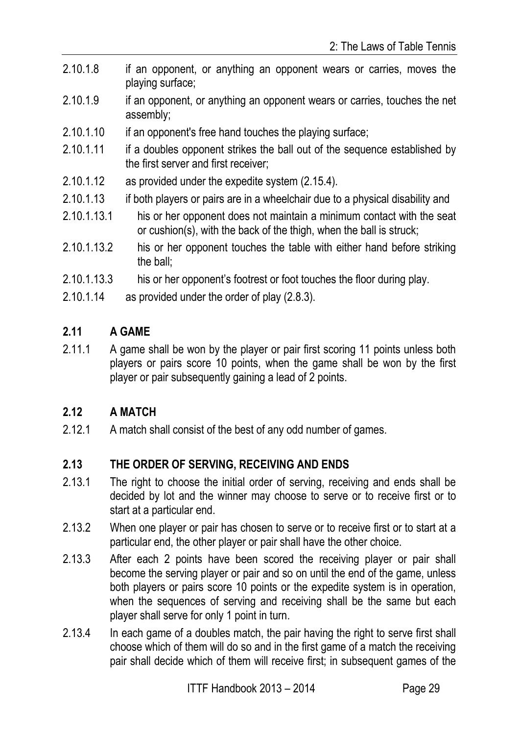- 2.10.1.8 if an opponent, or anything an opponent wears or carries, moves the playing surface;
- 2.10.1.9 if an opponent, or anything an opponent wears or carries, touches the net assembly;
- 2.10.1.10 if an opponent's free hand touches the playing surface;
- 2.10.1.11 if a doubles opponent strikes the ball out of the sequence established by the first server and first receiver;
- 2.10.1.12 as provided under the expedite system (2.15.4).
- 2.10.1.13 if both players or pairs are in a wheelchair due to a physical disability and
- 2.10.1.13.1 his or her opponent does not maintain a minimum contact with the seat or cushion(s), with the back of the thigh, when the ball is struck;
- 2.10.1.13.2 his or her opponent touches the table with either hand before striking the ball;
- 2.10.1.13.3 his or her opponent's footrest or foot touches the floor during play.
- 2.10.1.14 as provided under the order of play (2.8.3).

## **2.11 A GAME**

2.11.1 A game shall be won by the player or pair first scoring 11 points unless both players or pairs score 10 points, when the game shall be won by the first player or pair subsequently gaining a lead of 2 points.

# **2.12 A MATCH**

2.12.1 A match shall consist of the best of any odd number of games.

#### **2.13 THE ORDER OF SERVING, RECEIVING AND ENDS**

- 2.13.1 The right to choose the initial order of serving, receiving and ends shall be decided by lot and the winner may choose to serve or to receive first or to start at a particular end.
- 2.13.2 When one player or pair has chosen to serve or to receive first or to start at a particular end, the other player or pair shall have the other choice.
- 2.13.3 After each 2 points have been scored the receiving player or pair shall become the serving player or pair and so on until the end of the game, unless both players or pairs score 10 points or the expedite system is in operation, when the sequences of serving and receiving shall be the same but each player shall serve for only 1 point in turn.
- 2.13.4 In each game of a doubles match, the pair having the right to serve first shall choose which of them will do so and in the first game of a match the receiving pair shall decide which of them will receive first; in subsequent games of the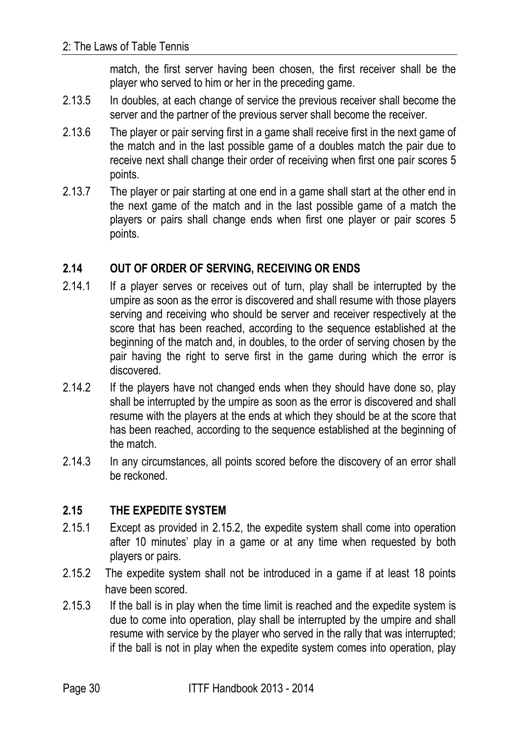match, the first server having been chosen, the first receiver shall be the player who served to him or her in the preceding game.

- 2.13.5 In doubles, at each change of service the previous receiver shall become the server and the partner of the previous server shall become the receiver.
- 2.13.6 The player or pair serving first in a game shall receive first in the next game of the match and in the last possible game of a doubles match the pair due to receive next shall change their order of receiving when first one pair scores 5 points.
- 2.13.7 The player or pair starting at one end in a game shall start at the other end in the next game of the match and in the last possible game of a match the players or pairs shall change ends when first one player or pair scores 5 points.

## **2.14 OUT OF ORDER OF SERVING, RECEIVING OR ENDS**

- 2.14.1 If a player serves or receives out of turn, play shall be interrupted by the umpire as soon as the error is discovered and shall resume with those players serving and receiving who should be server and receiver respectively at the score that has been reached, according to the sequence established at the beginning of the match and, in doubles, to the order of serving chosen by the pair having the right to serve first in the game during which the error is discovered.
- 2.14.2 If the players have not changed ends when they should have done so, play shall be interrupted by the umpire as soon as the error is discovered and shall resume with the players at the ends at which they should be at the score that has been reached, according to the sequence established at the beginning of the match.
- 2.14.3 In any circumstances, all points scored before the discovery of an error shall be reckoned.

# **2.15 THE EXPEDITE SYSTEM**

- 2.15.1 Except as provided in 2.15.2, the expedite system shall come into operation after 10 minutes' play in a game or at any time when requested by both players or pairs.
- 2.15.2 The expedite system shall not be introduced in a game if at least 18 points have been scored.
- 2.15.3 If the ball is in play when the time limit is reached and the expedite system is due to come into operation, play shall be interrupted by the umpire and shall resume with service by the player who served in the rally that was interrupted; if the ball is not in play when the expedite system comes into operation, play